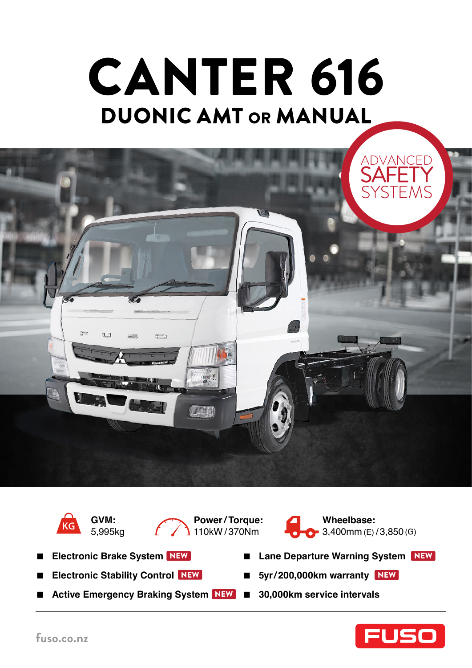# DUONIC AMT or MANUAL CANTER 616





**GVM:**  5,995kg





- **Electronic Brake System** NEW
- **Electronic Stability Control** NEW
- Active Emergency Braking System NEW 30,000km service intervals
- 
- Lane Departure Warning System NEW
- NEW 5yr/200,000km warranty NEW
	-

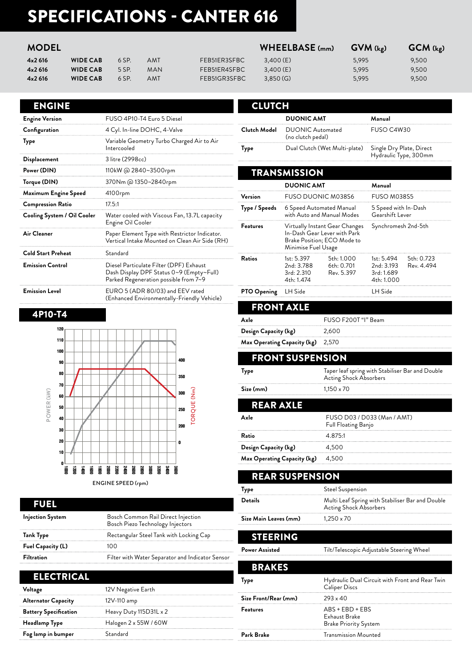# SPECIFICATIONS - CANTER 616

#### **MODEL WHEELBASE (mm) GVM (kg) GCM (kg)**

| 4x2616 | <b>WIDE CAB</b> | 6 SP. | AMT        | FEB51ER3SFBC | 3,400(E)  | 5.995 | 9,500 |
|--------|-----------------|-------|------------|--------------|-----------|-------|-------|
| 4x2616 | <b>WIDE CAB</b> | 5 SP. | <b>MAN</b> | FEB51ER4SFBC | 3.400 (E) | 5.995 | 9,500 |
| 4x2616 | <b>WIDE CAB</b> | 6 SP. | AMT        | FEB51GR3SFBC | 3.850(G)  | 5,995 | 9,500 |

#### ENGINE

| <b>Engine Version</b>       | FUSO 4P10-T4 Euro 5 Diesel                                                                                                   |
|-----------------------------|------------------------------------------------------------------------------------------------------------------------------|
| Configuration               | 4 Cyl. In-line DOHC, 4-Valve                                                                                                 |
| Type                        | Variable Geometry Turbo Charged Air to Air<br>Intercooled                                                                    |
| Displacement                | 3 litre (2998cc)                                                                                                             |
| Power (DIN)                 | 110kW @ 2840~3500rpm                                                                                                         |
| Torque (DIN)                | 370Nm @ 1350~2840rpm                                                                                                         |
| Maximum Engine Speed        | 4100rpm                                                                                                                      |
| <b>Compression Ratio</b>    | 17.5:1                                                                                                                       |
| Cooling System / Oil Cooler | Water cooled with Viscous Fan, 13.7L capacity<br>Engine Oil Cooler                                                           |
| Air Cleaner                 | Paper Element Type with Restrictor Indicator.<br>Vertical Intake Mounted on Clean Air Side (RH)                              |
| <b>Cold Start Preheat</b>   | Standard                                                                                                                     |
| <b>Emission Control</b>     | Diesel Particulate Filter (DPF) Exhaust<br>Dash Display DPF Status 0~9 (Empty~Full)<br>Parked Regeneration possible from 7~9 |
| <b>Emission Level</b>       | EURO 5 (ADR 80/03) and EEV rated<br>(Enhanced Environmentally-Friendly Vehicle)                                              |

#### 4P10-T4



| EUEL                    |                                                                        |
|-------------------------|------------------------------------------------------------------------|
| <b>Injection System</b> | Bosch Common Rail Direct Injection<br>Bosch Piezo Technology Injectors |
| Tank Type               | Rectangular Steel Tank with Locking Cap                                |
| Fuel Capacity (L)       | 100                                                                    |
| <b>Filtration</b>       | Filter with Water Separator and Indicator Sensor                       |

### ELECTRICAL

| Voltage                      | 12V Negative Earth     |
|------------------------------|------------------------|
| <b>Alternator Capacity</b>   | 12V-110 amp            |
| <b>Battery Specification</b> | Heavy Duty 115D31L x 2 |
| Headlamp Type                | Halogen 2 x 55W / 60W  |
| Fog lamp in bumper           | Standard               |

| <b>CLUTCH</b>   |                                                                                                                      |                                        |                                                      |                          |  |
|-----------------|----------------------------------------------------------------------------------------------------------------------|----------------------------------------|------------------------------------------------------|--------------------------|--|
|                 | <b>DUONIC AMT</b>                                                                                                    |                                        | Manual                                               |                          |  |
| Clutch Model    | <b>DUONIC Automated</b><br>(no clutch pedal)                                                                         |                                        | FUSO C4W30                                           |                          |  |
| Type            | Dual Clutch (Wet Multi-plate)                                                                                        |                                        | Single Dry Plate, Direct<br>Hydraulic Type, 300mm    |                          |  |
|                 | <b>TRANSMISSION</b>                                                                                                  |                                        |                                                      |                          |  |
|                 | <b>DUONIC AMT</b>                                                                                                    |                                        | Manual                                               |                          |  |
| Version         |                                                                                                                      | <b>FUSO DUONIC M038S6</b>              |                                                      | FUSO M038S5              |  |
| Type / Speeds   | 6 Speed Automated Manual<br>with Auto and Manual Modes                                                               |                                        | 5 Speed with In-Dash<br>Gearshift Lever              |                          |  |
| <b>Features</b> | Virtually Instant Gear Changes<br>In-Dash Gear Lever with Park<br>Brake Position; ECO Mode to<br>Minimise Fuel Usage |                                        | Synchromesh 2nd-5th                                  |                          |  |
| Ratios          | 1st: 5.397<br>2nd: 3.788<br>3rd: 2.310<br>4th: 1.474                                                                 | 5th: 1.000<br>6th: 0.701<br>Rev. 5.397 | 1st: 5.494<br>2nd: 3.193<br>3rd: 1.689<br>4th: 1.000 | 5th: 0.723<br>Rev. 4.494 |  |
| PTO Opening     | LH Side                                                                                                              |                                        | LH Side                                              |                          |  |

#### FRONT AXLE **Axle** FUSO F200T "I" Beam **Design Capacity (kg)** 2,600

**Max Operating Capacity (kg)** 2,570

#### FRONT SUSPENSION

| Type       | Taper leaf spring with Stabiliser Bar and Double<br><b>Acting Shock Absorbers</b> |
|------------|-----------------------------------------------------------------------------------|
| Size (mm)  | $1,150 \times 70$                                                                 |
| RFAR AXI F |                                                                                   |

| Avle                        | FUSO D03 / D033 (Man / AMT)<br>Full Floating Banjo |
|-----------------------------|----------------------------------------------------|
| Ratio                       | 4.875.1                                            |
| Design Capacity (kg)        | 4.500                                              |
| Max Operating Capacity (kg) | 4.500                                              |

| <b>REAR SUSPENSION</b> |                                                                                   |  |
|------------------------|-----------------------------------------------------------------------------------|--|
| Type                   | Steel Suspension                                                                  |  |
| <b>Details</b>         | Multi Leaf Spring with Stabiliser Bar and Double<br><b>Acting Shock Absorbers</b> |  |
| Size Main Leaves (mm)  | $1.250 \times 70$                                                                 |  |
|                        |                                                                                   |  |

#### STEERING

Power Assisted **Tilt/Telescopic Adjustable Steering Wheel** 

| <b>BRAKES</b>        |                                                                         |
|----------------------|-------------------------------------------------------------------------|
| vpe                  | Hydraulic Dual Circuit with Front and Rear Twin<br><b>Caliper Discs</b> |
| Size Front/Rear (mm) | $293 \times 40$                                                         |
| <b>Features</b>      | $ABS + EBD + EBS$<br>Exhaust Brake<br><b>Brake Priority System</b>      |
| Park Brake           | <b>Transmission Mounted</b>                                             |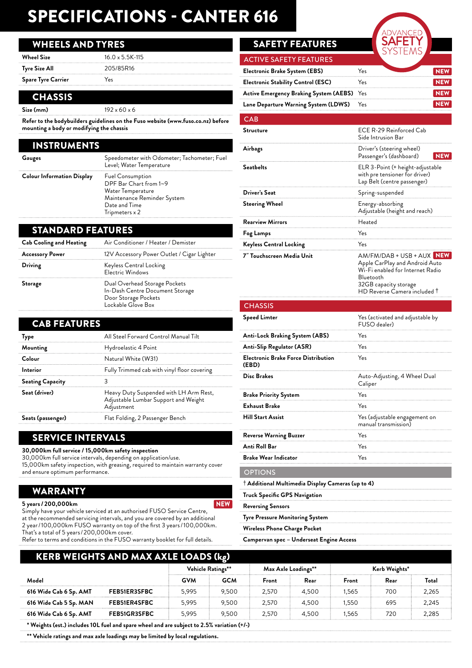# SPECIFICATIONS - CANTER 616

#### WHEELS AND TYRES

| <b>Wheel Size</b>         | $16.0 \times 5.5K - 115$ |
|---------------------------|--------------------------|
| Tyre Size All             | 205/85R16                |
| <b>Spare Tyre Carrier</b> | Yes                      |

#### **CHASSIS**

**Size (mm)** 192 x 60 x 6

**Refer to the bodybuilders guidelines on the Fuso website (www.fuso.co.nz) before mounting a body or modifying the chassis**

| <b>INSTRUMENTS</b>                |                                                                                                                                          |
|-----------------------------------|------------------------------------------------------------------------------------------------------------------------------------------|
| Gauges                            | Speedometer with Odometer; Tachometer; Fuel<br>Level; Water Temperature                                                                  |
| <b>Colour Information Display</b> | <b>Fuel Consumption</b><br>DPF Bar Chart from 1~9<br>Water Temperature<br>Maintenance Reminder System<br>Date and Time<br>Tripmeters x 2 |

#### STANDARD FEATURES

| <b>Cab Cooling and Heating</b> | Air Conditioner / Heater / Demister                                                                            |
|--------------------------------|----------------------------------------------------------------------------------------------------------------|
| <b>Accessory Power</b>         | 12V Accessory Power Outlet / Cigar Lighter                                                                     |
| Driving                        | Keyless Central Locking<br>Electric Windows                                                                    |
| Storage                        | Dual Overhead Storage Pockets<br>In-Dash Centre Document Storage<br>Door Storage Pockets<br>Lockable Glove Box |

| <b>CAB FEATURES</b>     |                                                                                              |
|-------------------------|----------------------------------------------------------------------------------------------|
| <b>Type</b>             | All Steel Forward Control Manual Tilt                                                        |
| Mounting                | Hydroelastic 4 Point                                                                         |
| Colour                  | Natural White (W31)                                                                          |
| Interior                | Fully Trimmed cab with vinyl floor covering                                                  |
| <b>Seating Capacity</b> |                                                                                              |
| Seat (driver)           | Heavy Duty Suspended with LH Arm Rest,<br>Adjustable Lumbar Support and Weight<br>Adjustment |
| Seats (passenger)       | Flat Folding, 2 Passenger Bench                                                              |

## SERVICE INTERVALS

**30,000km full service / 15,000km safety inspection**

30,000km full service intervals, depending on application/use. 15,000km safety inspection, with greasing, required to maintain warranty cover and ensure optimum performance.

## WARRANTY

#### **5 years / 200,000km**

Simply have your vehicle serviced at an authorised FUSO Service Centre, at the recommended servicing intervals, and you are covered by an additional 2 year / 100,000km FUSO warranty on top of the first 3 years / 100,000km. That's a total of 5 years / 200,000km cover. NEW

Refer to terms and conditions in the FUSO warranty booklet for full details.

# SAFETY FEATURES

| <b>ACTIVE SAFETY FEATURES</b>              |      |  |
|--------------------------------------------|------|--|
| Electronic Brake System (EBS)              | res. |  |
| <b>Electronic Stability Control (ESC)</b>  | Yes  |  |
| Active Emergency Braking System (AEBS) Yes |      |  |
| Lane Departure Warning System (LDWS)       | Yes  |  |

#### CAB

| Structure                                                  | ECE R-29 Reinforced Cab<br>Side Intrusion Bar                                                                                                                         |
|------------------------------------------------------------|-----------------------------------------------------------------------------------------------------------------------------------------------------------------------|
| Airbags                                                    | Driver's (steering wheel)<br>Passenger's (dashboard)<br><b>NEW</b>                                                                                                    |
| Seatbelts                                                  | ELR 3-Point (+ height-adjustable<br>with pre tensioner for driver)<br>Lap Belt (centre passenger)                                                                     |
| Driver's Seat                                              | Spring-suspended                                                                                                                                                      |
| Steering Wheel                                             | Energy-absorbing<br>Adjustable (height and reach)                                                                                                                     |
| <b>Rearview Mirrors</b>                                    | Heated                                                                                                                                                                |
| Fog Lamps                                                  | Yes                                                                                                                                                                   |
| <b>Keyless Central Locking</b>                             | Yes                                                                                                                                                                   |
| 7" Touchscreen Media Unit                                  | AM/FM/DAB + USB + AUX NEW<br>Apple CarPlay and Android Auto<br>Wi-Fi enabled for Internet Radio<br>Bluetooth<br>32GB capacity storage<br>HD Reverse Camera included † |
| <b>CHASSIS</b>                                             |                                                                                                                                                                       |
| Speed Limter                                               | Yes (activated and adjustable by<br>FUSO dealer)                                                                                                                      |
| Anti-Lock Braking System (ABS)                             | Yes                                                                                                                                                                   |
| Anti-Slip Regulator (ASR)                                  | Yes                                                                                                                                                                   |
| <b>Electronic Brake Force Distribution</b><br>(EBD)        | Yes                                                                                                                                                                   |
| <b>Disc Brakes</b>                                         | Auto-Adjusting, 4 Wheel Dual<br>Caliper                                                                                                                               |
| <b>Brake Priority System</b>                               | Yes                                                                                                                                                                   |
| Exhaust Brake                                              | Yes                                                                                                                                                                   |
| <b>Hill Start Assist</b>                                   | Yes (adjustable engagement on<br>manual transmission)                                                                                                                 |
| Reverse Warning Buzzer                                     | Yes                                                                                                                                                                   |
| Anti Roll Bar                                              | Yes                                                                                                                                                                   |
| <b>Brake Wear Indicator</b>                                | Yes                                                                                                                                                                   |
| <b>OPTIONS</b>                                             |                                                                                                                                                                       |
| $^\dagger$ Additional Multimedia Display Cameras (up to 4) |                                                                                                                                                                       |
| Truck Specific GPS Navigation                              |                                                                                                                                                                       |
| Reversing Sensors                                          |                                                                                                                                                                       |
| Tyre Pressure Monitoring System                            |                                                                                                                                                                       |
| Wireless Phone Charge Pocket                               |                                                                                                                                                                       |

**Campervan spec – Underseat Engine Access**

| <b>KERB WEIGHTS AND MAX AXLE LOADS (kg)</b>                                                |                     |                   |            |                     |       |               |      |       |
|--------------------------------------------------------------------------------------------|---------------------|-------------------|------------|---------------------|-------|---------------|------|-------|
|                                                                                            |                     | Vehicle Ratings** |            | Max Axle Loadings** |       | Kerb Weights* |      |       |
| Model                                                                                      |                     | <b>GVM</b>        | <b>GCM</b> | Front               | Rear  | Front         | Rear | Total |
| 616 Wide Cab 6 Sp. AMT                                                                     | FEB51ER3SFBC        | 5.995             | 9.500      | 2.570               | 4.500 | 1.565         | 700  | 2.265 |
| 616 Wide Cab 5 Sp. MAN                                                                     | FEB51ER4SFBC        | 5.995             | 9.500      | 2.570               | 4.500 | 1.550         | 695  | 2,245 |
| 616 Wide Cab 6 Sp. AMT                                                                     | <b>FEB51GR3SFBC</b> | 5.995             | 9.500      | 2.570               | 4.500 | 1,565         | 720  | 2,285 |
| * Weights (est.) includes 10L fuel and spare wheel and are subject to 2.5% variation (+/-) |                     |                   |            |                     |       |               |      |       |

**\*\* Vehicle ratings and max axle loadings may be limited by local regulations.**